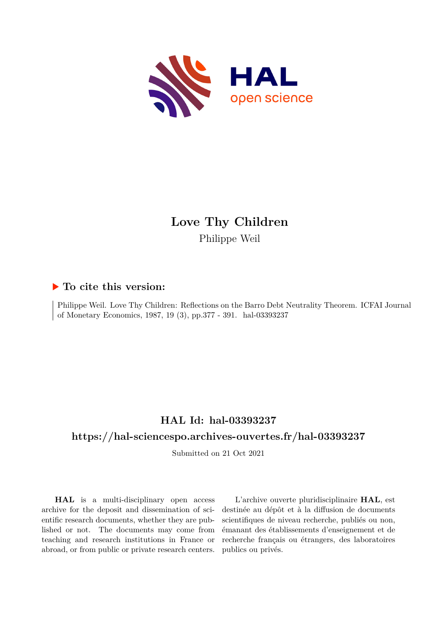

# **Love Thy Children** Philippe Weil

## **To cite this version:**

Philippe Weil. Love Thy Children: Reflections on the Barro Debt Neutrality Theorem. ICFAI Journal of Monetary Economics, 1987, 19 (3), pp.377 - 391. hal-03393237

## **HAL Id: hal-03393237**

### **<https://hal-sciencespo.archives-ouvertes.fr/hal-03393237>**

Submitted on 21 Oct 2021

**HAL** is a multi-disciplinary open access archive for the deposit and dissemination of scientific research documents, whether they are published or not. The documents may come from teaching and research institutions in France or abroad, or from public or private research centers.

L'archive ouverte pluridisciplinaire **HAL**, est destinée au dépôt et à la diffusion de documents scientifiques de niveau recherche, publiés ou non, émanant des établissements d'enseignement et de recherche français ou étrangers, des laboratoires publics ou privés.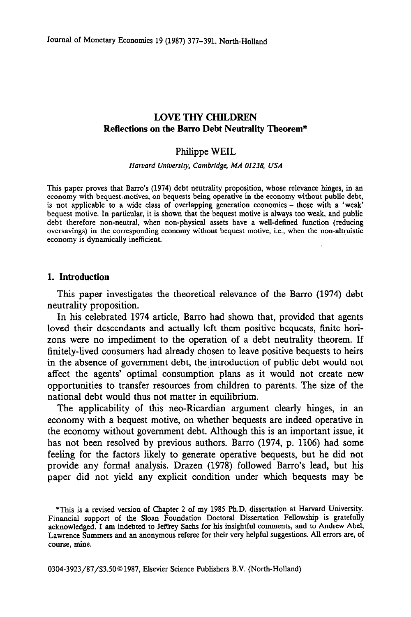#### LOVE THY CHILDREN Reflections on the Barre Debt Neutrality Theorem\*

#### Philippe WEIL

#### Harvard University, Cambridge, MA 01238, USA

This paper proves that Barro's (1974) debt neutrality proposition, whose relevance hinges, in an economy with bequest.motives, on bequests being operative in the economy without public debt, is not applicable to a wide class of overlapping generation economies - those with a 'weak bequest motive. In particular, it is shown that the bequest motive is always too weak, and public debt therefore non-neutral, when non-physical assets have a well-defined function (reducing oversavings) in the corresponding economy without bequest motive, i.e., when the non-altruistic economy is dynamically inefficient.

#### 1. Introduction

This paper investigates the theoretical relevance of the Barro (1974) debt neutrality proposition.

In his celebrated 1974 article, Barro had shown that, provided that agents loved their descendants and actually left them positive bequests, finite horizons were no impediment to the operation of a debt neutrality theorem. If finitely-lived consumers had already chosen to leave positive bequests to heirs in the absence of government debt, the introduction of public debt would not affect the agents' optimal consumption plans as it would not create new opportunities to transfer resources from children to parents. The size of the national debt would thus not matter in equilibrium.

The applicability of this neo-Ricardian argument clearly hinges, in an economy with a bequest motive, on whether bequests are indeed operative in the economy without government debt. Although this is an important issue, it has not been resolved by previous authors. Barro (1974, p. 1106) had some feeling for the factors likely to generate operative bequests, but he did not provide any formal analysis. Drazen (1978) followed Barro's lead, but his paper did not yield any explicit condition under which bequests may be

<sup>\*</sup>This is a revised version of Chapter 2 of my 1985 Ph.D. dissertation at Harvard University. Financial support of the Sloan Foundation Doctoral Dissertation Fellowship is gratefully acknowledged. I am indebted to Jeffrey Sachs for his insightful comments, and to Andrew Abel, Lawrence Summers and an anonymous referee for their very helpful suggestions. All errors are, of course, mine.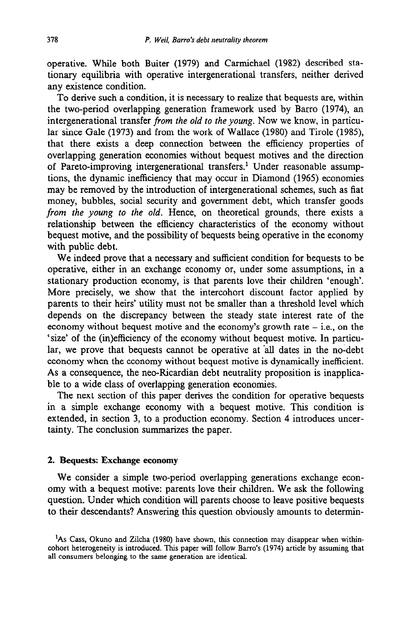operative. While both Buiter (1979) and Carmichael (1982) described stationary equilibria with operative intergenerational transfers, neither derived any existence condition.

To derive such a condition, it is necessary to realize that bequests are, within the two-period overlapping generation framework used by Barro (1974), an intergenerational transfer from the old to the young. Now we know, in particular since Gale (1973) and from the work of Wallace (1980) and Tirole (1985) that there exists a deep connection between the efficiency properties of overlapping generation economies without bequest motives and the direction of Pareto-improving intergenerational transfers.' Under reasonable assumptions, the dynamic inefficiency that may occur in Diamond (1965) economies may be removed by the introduction of intergenerational schemes, such as fiat money, bubbles, social security and government debt, which transfer goods from the young to the old. Hence, on theoretical grounds, there exists a relationship between the efficiency characteristics of the economy without bequest motive, and the possibility of bequests being operative in the economy with public debt.

We indeed prove that a necessary and sufficient condition for bequests to be operative, either in an exchange economy or, under some assumptions, in a stationary production economy, is that parents love their children 'enough'. More precisely, we show that the intercohort discount factor applied by parents to their heirs' utility must not be smaller than a threshold level which depends on the discrepancy between the steady state interest rate of the economy without bequest motive and the economy's growth rate  $-$  i.e., on the 'size' of the (in)efficiency of the economy without bequest motive. In particular, we prove that bequests cannot be operative at all dates in the no-debt economy when the economy without bequest motive is dynamically inefficient. As a consequence, the neo-Ricardian debt neutrality proposition is inapplicable to a wide class of overlapping generation economies.

The next section of this paper derives the condition for operative bequests in a simple exchange economy with a bequest motive. This condition is extended, in section 3, to a production economy. Section 4 introduces uncertainty. The conclusion summarizes the paper.

#### 2. Bequests: Exchange economy

We consider a simple two-period overlapping generations exchange economy with a bequest motive: parents love their children. We ask the following question. Under which condition will parents choose to leave positive bequests to their descendants? Answering this question obviously amounts to determin-

<sup>&</sup>lt;sup>1</sup>As Cass, Okuno and Zilcha (1980) have shown, this connection may disappear when withincohort heterogeneity is introduced. This paper will follow Barre's (1974) article by assuming that all consumers belonging to the same generation are identical.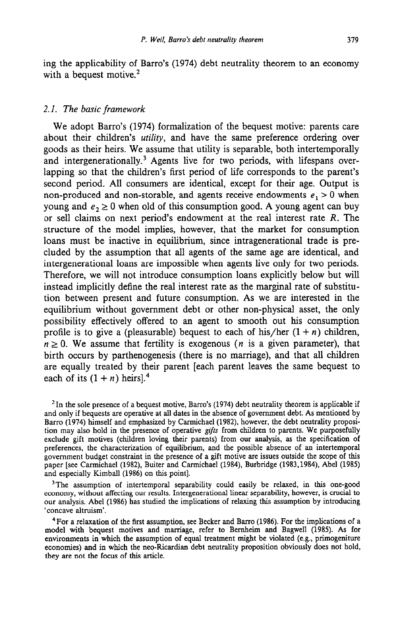ing the applicability of Barro's (1974) debt neutrality theorem to an economy with a bequest motive.<sup>2</sup>

#### 2.1. The basic framework

We adopt Barro's (1974) formalization of the bequest motive: parents care about their children's *utility*, and have the same preference ordering over goods as their heirs. We assume that utility is separable, both intertemporally and intergenerationally.<sup>3</sup> Agents live for two periods, with lifespans overlapping so that the children's first period of life corresponds to the parent's second period. All consumers are identical, except for their age. Output is non-produced and non-storable, and agents receive endowments  $e_1 > 0$  when young and  $e_2 \ge 0$  when old of this consumption good. A young agent can buy or sell claims on next period's endowment at the real interest rate R. The structure of the model implies, however, that the market for consumption loans must be inactive in equilibrium, since intragenerational trade is precluded by the assumption that all agents of the same age are identical, and intergenerational loans are impossible when agents live only for two periods. Therefore, we will not introduce consumption loans explicitly below but will instead implicitly define the real interest rate as the marginal rate of substitution between present and future consumption. As we are interested in the equilibrium without government debt or other non-physical asset, the only possibility effectively offered to an agent to smooth out his consumption profile is to give a (pleasurable) bequest to each of his/her  $(1 + n)$  children,  $n \geq 0$ . We assume that fertility is exogenous (*n* is a given parameter), that birth occurs by parthenogenesis (there is no marriage), and that all children are equally treated by their parent [each parent leaves the same bequest to each of its  $(1 + n)$  heirs].<sup>4</sup>

 $3$ The assumption of intertemporal separability could easily be relaxed, in this one-good economy, without affecting our results. Intergenerational linear separability, however, is crucial to our analysis. Abel (1986) has studied the implications of relaxing this assumption by introducing 'concave altruism'.

4For a relaxation of the first assumption, see Becker and Barre (1986). For the implications of a model with bequest motives and marriage, refer to Bemheim and Bagwell (1985). As for environments in which the assumption of equal treatment might be violated (e.g., primogeniture economies) and in which the neo-Ricardian debt neutrality proposition obviously does not hold, they are not the focus of this article.

 $<sup>2</sup>$  In the sole presence of a bequest motive, Barro's (1974) debt neutrality theorem is applicable if</sup> and only if bequests are operative at all dates in the absence of government debt. As mentioned by Barre (1974) himself and emphasized by Carmichael (1982) however, the debt neutrality proposition may also hold in the presence of operative gifts from children to parents. We purposefully exclude gift motives (children loving their parents) from our analysis, as the specification of preferences, the characterization of equilibrium, and the possible absence of an intertemporal government budget constraint in the presence of a gift motive are issues outside the scope of this paper [see Carmichael (1982), Buiter and Carmichael (1984), Burbridge (1983,1984), Abel (1985) and especially Kimball (1986) on this point].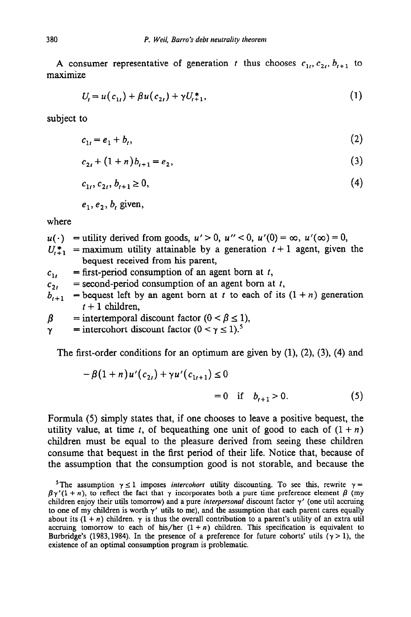A consumer representative of generation t thus chooses  $c_1, c_2, b_{t+1}$  to maximize

$$
U_t = u(c_{1t}) + \beta u(c_{2t}) + \gamma U_{t+1}^*,
$$
\n(1)

subject to

$$
c_{1i} = e_1 + b_i, \tag{2}
$$

$$
c_{2t} + (1+n)b_{t+1} = e_2, \tag{3}
$$

$$
c_{1t}, c_{2t}, b_{t+1} \ge 0,\tag{4}
$$

$$
e_1, e_2, b
$$
, given,

where

- $u(\cdot)$  = utility derived from goods,  $u' > 0$ ,  $u'' < 0$ ,  $u'(0) = \infty$ ,  $u'(\infty) = 0$ ,
- $U_{t+1}^*$  = maximum utility attainable by a generation  $t+1$  agent, given the bequest received from his parent,
- $c_{1t}$  = first-period consumption of an agent born at t,
- $c_{2t}$  = second-period consumption of an agent born at t,
- $b_{t+1}$  = bequest left by an agent born at t to each of its (1 + n) generation  $t + 1$  children,
- $\beta$  = intertemporal discount factor  $(0 < \beta \le 1)$ ,
- $\gamma$  = intercohort discount factor  $(0 < \gamma \le 1)$ .<sup>5</sup>

The first-order conditions for an optimum are given by  $(1)$ ,  $(2)$ ,  $(3)$ ,  $(4)$  and

$$
-\beta(1+n)u'(c_{2t}) + \gamma u'(c_{1t+1}) \le 0
$$
  
= 0 if  $b_{t+1} > 0$ . (5)

Formula (5) simply states that, if one chooses to leave a positive bequest, the utility value, at time *t*, of bequeathing one unit of good to each of  $(1 + n)$ children must be equal to the pleasure derived from seeing these children consume that bequest in the first period of their life. Notice that, because of the assumption that the consumption good is not storable, and because the

<sup>&</sup>lt;sup>5</sup>The assumption  $\gamma \le 1$  imposes *intercohort* utility discounting. To see this, rewrite  $\gamma =$  $\beta\gamma'(1 + n)$ , to reflect the fact that  $\gamma$  incorporates both a pure time preference element  $\beta$  (my children enjoy their utils tomorrow) and a pure interpersonal discount factor  $\gamma'$  (one util accruing to one of my children is worth  $\gamma'$  utils to me), and the assumption that each parent cares equally about its  $(1 + n)$  children.  $\gamma$  is thus the overall contribution to a parent's utility of an extra util accruing tomorrow to each of his/her  $(1 + n)$  children. This specification is equivalent to Burbridge's (1983,1984). In the presence of a preference for future cohorts' utils  $(\gamma > 1)$ , the existence of an optimal consumption program is problematic.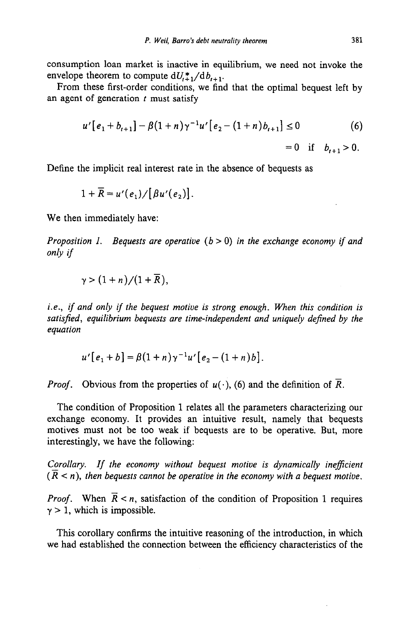consumption loan market is inactive in equilibrium, we need not invoke the envelope theorem to compute  $dU_{t+1}^*/db_{t+1}$ .

From these first-order conditions, we find that the optimal bequest left by an agent of generation  $t$  must satisfy

$$
u' [e_1 + b_{t+1}] - \beta (1+n) \gamma^{-1} u' [e_2 - (1+n) b_{t+1}] \le 0
$$
 (6)  
= 0 if  $b_{t+1} > 0$ .

Define the implicit real interest rate in the absence of bequests as

$$
1+\overline{R}=u'(e_1)/[\beta u'(e_2)].
$$

We then immediately have:

Proposition 1. Bequests are operative  $(b > 0)$  in the exchange economy if and only if

$$
\gamma>(1+n)/(1+\overline{R}),
$$

i.e., if and only if the bequest motive is strong enough. When this condition is satisfied, equilibrium bequests are time-independent and uniquely defined by the equation

$$
u'\big[e_1+b\big]=\beta(1+n)\gamma^{-1}u'\big[e_2-(1+n)b\big].
$$

*Proof.* Obvious from the properties of  $u(\cdot)$ , (6) and the definition of  $\overline{R}$ .

The condition of Proposition 1 relates all the parameters characterizing our exchange economy. It provides an intuitive result, namely that bequests motives must not be too weak if bequests are to be operative. But, more interestingly, we have the following:

Corollary. If the economy without bequest motive is dynamically inefficient  $(\overline{R} < n)$ , then bequests cannot be operative in the economy with a bequest motive.

*Proof.* When  $\bar{R} < n$ , satisfaction of the condition of Proposition 1 requires  $\gamma > 1$ , which is impossible.

This corollary confirms the intuitive reasoning of the introduction, in which we had established the connection between the efficiency characteristics of the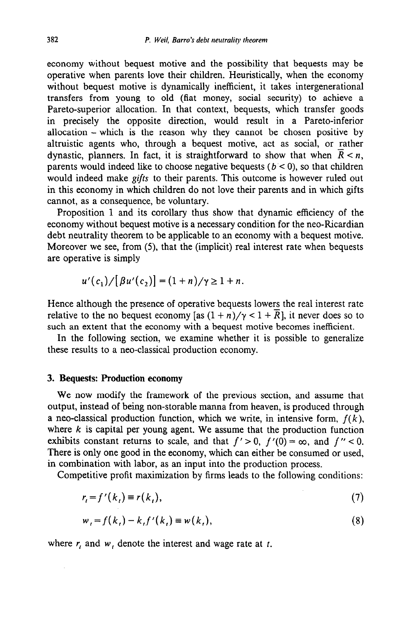economy without bequest motive and the possibility that bequests may be operative when parents love their children. Heuristically, when the economy without bequest motive is dynamically inefficient, it takes intergenerational transfers from young to old (fiat money, social security) to achieve a Pareto-superior allocation. In that context, bequests, which transfer goods in precisely the opposite direction, would result in a Pareto-inferior allocation - which is the reason why they cannot be chosen positive by altruistic agents who, through a bequest motive, act as social, or rather dynastic, planners. In fact, it is straightforward to show that when  $\bar{R} < n$ , parents would indeed like to choose negative bequests ( $b < 0$ ), so that children would indeed make gifts to their parents. This outcome is however ruled out in this economy in which children do not love their parents and in which gifts cannot, as a consequence, be voluntary.

Proposition 1 and its corollary thus show that dynamic efficiency of the economy without bequest motive is a necessary condition for the neo-Ricardian debt neutrality theorem to be applicable to an economy with a bequest motive. Moreover we see, from (5), that the (implicit) real interest rate when bequests are operative is simply

$$
u'(c_1)/[\beta u'(c_2)] = (1+n)/\gamma \ge 1+n.
$$

Hence although the presence of operative bequests lowers the real interest rate relative to the no bequest economy [as  $(1 + n)/\gamma < 1 + \overline{R}$ ], it never does so to such an extent that the economy with a bequest motive becomes inefficient.

In the following section, we examine whether it is possible to generalize these results to a neo-classical production economy.

#### 3. Bequests: Production economy

We now modify the framework of the previous section, and assume that output, instead of being non-storable manna from heaven, is produced through a neo-classical production function, which we write, in intensive form,  $f(k)$ , where  $k$  is capital per young agent. We assume that the production function exhibits constant returns to scale, and that  $f' > 0$ ,  $f'(0) = \infty$ , and  $f'' < 0$ . There is only one good in the economy, which can either be consumed or used, in combination with labor, as an input into the production process.

Competitive profit maximization by firms leads to the following conditions:

$$
r_t = f'(k_t) \equiv r(k_t),\tag{7}
$$

$$
w_t = f(k_t) - k_t f'(k_t) \equiv w(k_t), \qquad (8)
$$

where  $r_i$  and  $w_i$ , denote the interest and wage rate at t.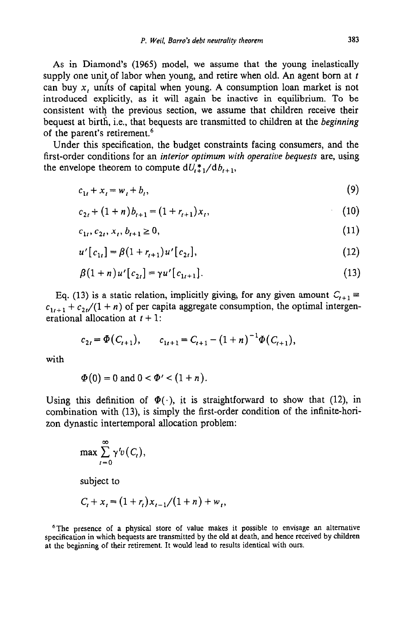As in Diamond's (1965) model, we assume that the young inelastically supply one unit of labor when young, and retire when old. An agent born at  $t$ can buy  $x_i$  units of capital when young. A consumption loan market is not introduced explicitly, as it will again be inactive in equilibrium. To be consistent with the previous section, we assume that children receive their bequest at birth, i.e., that bequests are transmitted to children at the beginning of the parent's retirement.<sup>6</sup>

Under this specification, the budget constraints facing consumers, and the first-order conditions for an interior optimum with operative bequests are, using the envelope theorem to compute  $dU_{t+1}^*/d\,b_{t+1}$ ,

$$
c_{1t} + x_t = w_t + b_t,\tag{9}
$$

$$
c_{2t} + (1+n)b_{t+1} = (1+r_{t+1})x_t,
$$
\n(10)

$$
c_{1t}, c_{2t}, x_t, b_{t+1} \ge 0,\tag{11}
$$

$$
u'\big[c_{1t}\big] = \beta(1 + r_{t+1})u'\big[c_{2t}\big],\tag{12}
$$

$$
\beta(1+n)u'\big[c_{2t}\big]=\gamma u'\big[c_{1t+1}\big].\tag{13}
$$

Eq. (13) is a static relation, implicitly giving, for any given amount  $C_{t+1}$  $c_{1r+1} + c_{2r}/(1 + n)$  of per capita aggregate consumption, the optimal intergenerational allocation at  $t + 1$ :

$$
c_{2t} = \Phi(C_{t+1}), \qquad c_{1t+1} = C_{t+1} - (1+n)^{-1} \Phi(C_{t+1}),
$$

with

$$
\Phi(0) = 0 \text{ and } 0 < \Phi' < (1 + n).
$$

Using this definition of  $\Phi(\cdot)$ , it is straightforward to show that (12), in combination with (13), is simply the first-order condition of the infinite-horizon dynastic intertemporal allocation problem:

$$
\max \sum_{i=0}^{\infty} \gamma^{t} v(C_{i}),
$$
  
subject to  

$$
C_{i} + x_{i} = (1 + r_{i})x_{i-1}/(1 + n) + w_{i},
$$

6The presence of a physical store of value makes it possible to envisage an alternative specification in which bequests are transmitted by the old at death, and hence received by children at the beginning of their retirement. It would lead to results identical with ours.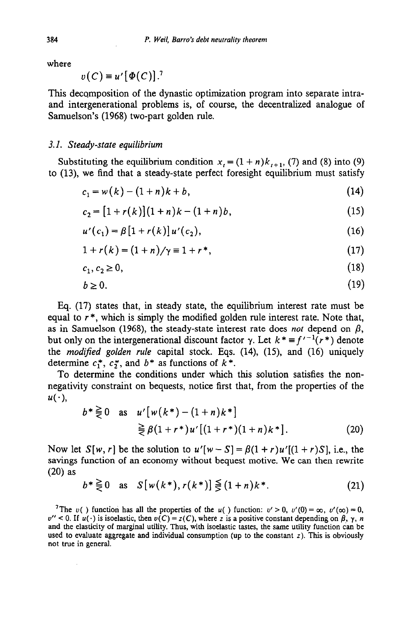where

 $v(C) \equiv u'[\Phi(C)].^7$ 

This decqmposition of the dynastic optimization program into separate intraand intergenerational problems is, of course, the decentralized analogue of Samuelson's (1968) two-part golden rule.

#### 3.1. Steady-state equilibrium

Substituting the equilibrium condition  $x_i = (1 + n)k_{i+1}$ , (7) and (8) into (9) to (13), we find that a steady-state perfect foresight equilibrium must satisfy

$$
c_1 = w(k) - (1+n)k + b,\t\t(14)
$$

$$
c_2 = [1 + r(k)](1 + n)k - (1 + n)b,
$$
\n(15)

$$
u'(c_1) = \beta [1 + r(k)] u'(c_2), \qquad (16)
$$

$$
1 + r(k) = (1 + n)/\gamma = 1 + r^*,
$$
\n(17)

$$
c_1, c_2 \ge 0,\tag{18}
$$

$$
b \geq 0. \tag{19}
$$

Eq. (17) states that, in steady state, the equilibrium interest rate must be equal to  $r^*$ , which is simply the modified golden rule interest rate. Note that, as in Samuelson (1968), the steady-state interest rate does not depend on  $\beta$ , but only on the intergenerational discount factor  $\gamma$ . Let  $k^* = f'^{-1}(r^*)$  denote the modified golden rule capital stock. Eqs. (14), (15), and (16) uniquely determine  $c_1^*$ ,  $c_2^*$ , and  $b^*$  as functions of  $k^*$ .

To determine the conditions under which this solution satisfies the nonnegativity constraint on bequests, notice first that, from the properties of the  $u(\cdot),$ 

$$
b^* \geq 0 \text{ as } u' [w(k^*) - (1+n)k^*]
$$
  
 
$$
\geq \beta(1+r^*)u' [(1+r^*)(1+n)k^*].
$$
 (20)

Now let  $S[w, r]$  be the solution to  $u'[w - S] = \beta(1 + r)u'[1 + r)S]$ , i.e., the savings function of an economy without bequest motive. We can then rewrite (20) as

$$
b^* \ge 0
$$
 as  $S[w(k^*), r(k^*)] \le (1+n)k^*$ . (21)

<sup>7</sup>The  $u($ ) function has all the properties of the  $u($ ) function:  $u' > 0$ ,  $v'(0) = \infty$ ,  $v'(\infty) = 0$ ,  $u'' < 0$ . If  $u'(x)$  is isoelastic, then  $u(C) = \tau(C)$ , where z is a positive constant depending on  $\beta \sim u$ and the elasticity of marginal utility. Thus, with isoelastic tastes, the same utility function can be used to evaluate aggregate and individual consumption (up to the constant  $z$ ). This is obviously not true in general.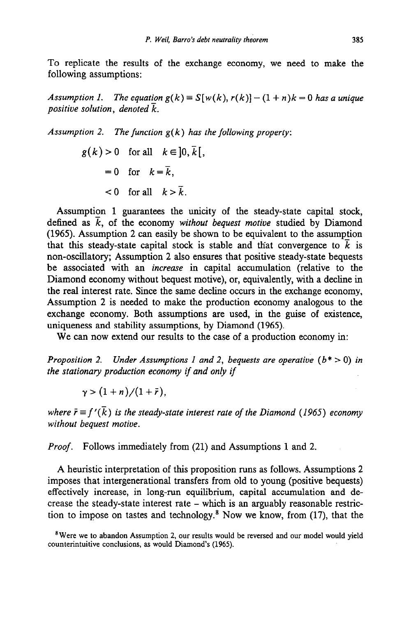To replicate the results of the exchange economy, we need to make the following assumptions:

Assumption 1. The equation  $g(k) \equiv S[w(k), r(k)] - (1 + n)k = 0$  has a unique positive solution, denoted  $\overline{k}$ .

Assumption 2. The function  $g(k)$  has the following property:

$$
g(k) > 0 \quad \text{for all} \quad k \in ]0, \bar{k}[
$$

$$
= 0 \quad \text{for} \quad k = \bar{k},
$$

$$
< 0 \quad \text{for all} \quad k > \bar{k}.
$$

Assumption 1 guarantees the unicity of the steady-state capital stock, defined as  $\overline{k}$ , of the economy without bequest motive studied by Diamond (1965). Assumption 2 can easily be shown to be equivalent to the assumption that this steady-state capital stock is stable and that convergence to  $\bar{k}$  is non-oscillatory; Assumption 2 also ensures that positive steady-state bequests be associated with an increase in capital accumulation (relative to the Diamond economy without bequest motive), or, equivalently, with a decline in the real interest rate. Since the same decline occurs in the exchange economy, Assumption 2 is needed to make the production economy analogous to the exchange economy. Both assumptions are used, in the guise of existence, uniqueness and stability assumptions, by Diamond (1965).

We can now extend our results to the case of a production economy in:

Proposition 2. Under Assumptions 1 and 2, bequests are operative  $(b^* > 0)$  in the stationary production economy if and only if

$$
\gamma>(1+n)/(1+\bar{r}),
$$

where  $\bar{r} \equiv f'(\bar{k})$  is the steady-state interest rate of the Diamond (1965) economy without bequest motive.

Proof. Follows immediately from (21) and Assumptions 1 and 2.

A heuristic interpretation of this proposition runs as follows, Assumptions 2 imposes that intergenerational transfers from old to young (positive bequests) effectively increase, in long-run equilibrium, capital accumulation and decrease the steady-state interest rate  $-$  which is an arguably reasonable restriction to impose on tastes and technology.<sup>8</sup> Now we know, from (17), that the

<sup>&</sup>lt;sup>8</sup> Were we to abandon Assumption 2, our results would be reversed and our model would yield counterintuitive conclusions, as would Diamond's (1965).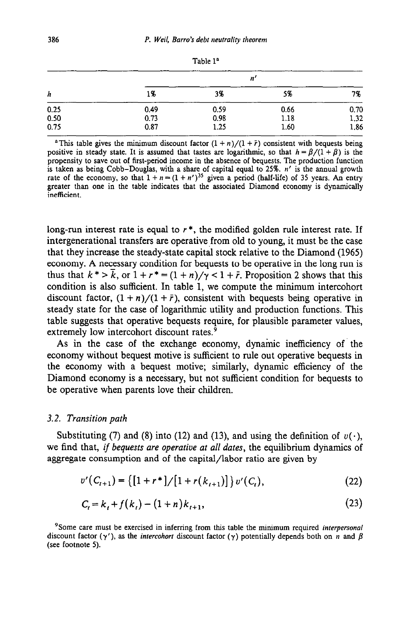| h                                           | n'   |      |      |      |
|---------------------------------------------|------|------|------|------|
|                                             | 1%   | 3%   | 5%   | 7%   |
|                                             | 0.49 | 0.59 | 0.66 | 0.70 |
| $\begin{array}{c} 0.25 \\ 0.50 \end{array}$ | 0.73 | 0.98 | 1.18 | 1.32 |
| 0.75                                        | 0.87 | 1.25 | 1.60 | 1.86 |

Table 1<sup>a</sup>

<sup>a</sup>This table gives the minimum discount factor  $(1 + n)/(1 + \bar{r})$  consistent with bequests being positive in steady state. It is assumed that tastes are logarithmic, so that  $h = \beta/(1 + \beta)$  is the propensity to save out of first-period income in the absence of bequests. The production function is taken as being Cobb-Douglas, with a share of capital equal to 25%.  $n'$  is the annual growth rate of the economy, so that  $1 + n = (1 + n')^{35}$  given a period (half-life) of 35 years. An entry greater than one in the table indicates that the associated Diamond economy is dynamically inefficient.

long-run interest rate is equal to  $r^*$ , the modified golden rule interest rate. If intergenerational transfers are operative from old to young, it must be the case that they increase the steady-state capital stock relative to the Diamond (1965) economy. A necessary condition for bequests to be operative in the long run is thus that  $k^* > \overline{k}$ , or  $1 + r^* = (1 + n)/\gamma < 1 + \overline{r}$ . Proposition 2 shows that this condition is also sufficient. In table 1, we compute the minimum intercohort discount factor,  $(1 + n)/(1 + \bar{r})$ , consistent with bequests being operative in steady state for the case of logarithmic utility and production functions. This table suggests that operative bequests require, for plausible parameter values, extremely low intercohort discount rates.<sup>9</sup>

As in the case of the exchange economy, dynamic inefficiency of the economy without bequest motive is sufficient to rule out operative bequests in the economy with a bequest motive; similarly, dynamic efficiency of the Diamond economy is a necessary, but not sufficient condition for bequests to be operative when parents love their children.

#### 3.2. Transition path

Substituting (7) and (8) into (12) and (13), and using the definition of  $v(\cdot)$ , we find that, if bequests are operative at all dates, the equilibrium dynamics of aggregate consumption and of the capital/labor ratio are given by

$$
v'(C_{t+1}) = \{ [1 + r^*]/[1 + r(k_{t+1})] \} v'(C_t), \tag{22}
$$

$$
C_t = k_t + f(k_t) - (1 + n)k_{t+1},
$$
\n(23)

<sup>9</sup>Some care must be exercised in inferring from this table the minimum required *interpersonal* discount factor ( $\gamma'$ ), as the *intercohort* discount factor ( $\gamma$ ) potentially depends both on *n* and  $\beta$ (see footnote 5).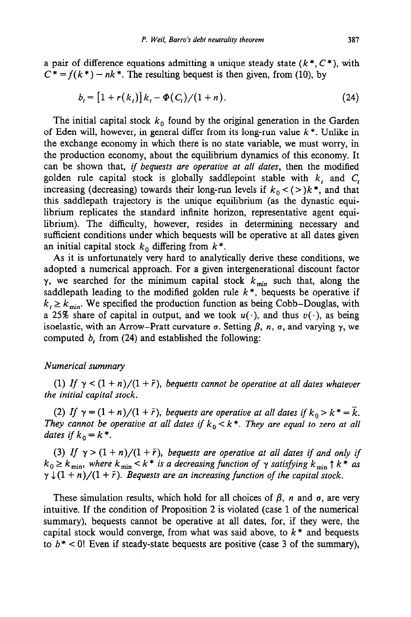a pair of difference equations admitting a unique steady state  $(k^*, C^*)$ , with  $C^* = f(k^*) - nk^*$ . The resulting bequest is then given, from (10), by

$$
b_t = [1 + r(k_t)]k_t - \Phi(C_t)/(1 + n). \tag{24}
$$

The initial capital stock  $k_0$  found by the original generation in the Garden of Eden will, however, in general differ from its long-run value  $k^*$ . Unlike in the exchange economy in which there is no state variable, we must worry, in the production economy, about the equilibrium dynamics of this economy. It can be shown that, if bequests are operative at all dates, then the modified golden rule capital stock is globally saddlepoint stable with  $k$ , and  $C$ , increasing (decreasing) towards their long-run levels if  $k_0 < (>)k^*$ , and that this saddlepath trajectory is the unique equilibrium (as the dynastic equilibrium replicates the standard infinite horizon, representative agent equilibrium). The difficulty, however, resides in determining necessary and sufficient conditions under which bequests will be operative at all dates given an initial capital stock  $k_0$  differing from  $k^*$ .

As it is unfortunately very hard to analytically derive these conditions, we adopted a numerical approach. For a given intergenerational discount factor  $\gamma$ , we searched for the minimum capital stock  $k_{\text{min}}$  such that, along the saddlepath leading to the modified golden rule  $k^*$ , bequests be operative if  $k_{\textit{l}} \geq k_{\text{min}}$ . We specified the production function as being Cobb-Douglas, with a 25% share of capital in output, and we took  $u(\cdot)$ , and thus  $v(\cdot)$ , as being isoelastic, with an Arrow-Pratt curvature  $\sigma$ . Setting  $\beta$ , n,  $\sigma$ , and varying  $\gamma$ , we computed  $b<sub>i</sub>$ , from (24) and established the following:

#### Numerical summary

(1) If  $\gamma$  < (1 + n)/(1 +  $\bar{r}$ ), bequests cannot be operative at all dates whatever the initial capital stock.

(2) If  $\gamma = (1 + n)/(1 + \bar{r})$ , bequests are operative at all dates if  $k_0 > k^* = \bar{k}$ . They cannot be operative at all dates if  $k_0 < k^*$ . They are equal to zero at all dates if  $k_0 = k^*$ .

(3) If  $\gamma > (1 + n)/(1 + \bar{r})$ , bequests are operative at all dates if and only if  $k_0 \geq k_{\text{min}}$ , where  $k_{\text{min}} < k^*$  is a decreasing function of  $\gamma$  satisfying  $k_{\text{min}} \uparrow k^*$  as  $\gamma \downarrow (1 + n)/(1 + \bar{r})$ . Bequests are an increasing function of the capital stock.

These simulation results, which hold for all choices of  $\beta$ , n and  $\sigma$ , are very intuitive. If the condition of Proposition 2 is violated (case 1 of the numerical summary), bequests cannot be operative at all dates, for, if they were, the capital stock would converge, from what was said above, to  $k^*$  and bequests to  $b^*$  < 0! Even if steady-state bequests are positive (case 3 of the summary),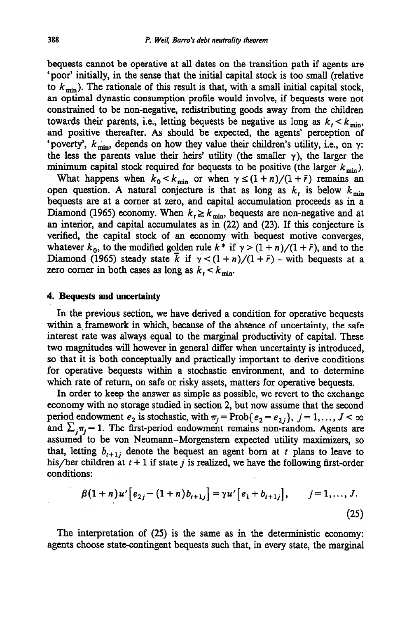bequests cannot be operative at all dates on the transition path if agents are 'poor' initially, in the sense that the initial capital stock is too small (relative to  $k_{\text{min}}$ ). The rationale of this result is that, with a small initial capital stock, an optimal dynastic consumption profile would involve, if bequests were not constrained to be non-negative, redistributing goods away from the children towards their parents, i.e., letting bequests be negative as long as  $k_t < k_{\text{min}}$ , and positive thereafter. As should be expected, the agents' perception of 'poverty',  $k_{\text{min}}$ , depends on how they value their children's utility, i.e., on y: the less the parents value their heirs' utility (the smaller  $\gamma$ ), the larger the minimum capital stock required for bequests to be positive (the larger  $k_{\text{min}}$ ).

What happens when  $k_0 < k_{min}$  or when  $\gamma \le (1 + n)/(1 + \bar{r})$  remains an open question. A natural conjecture is that as long as  $k_i$  is below  $k_{\min}$ bequests are at a comer at zero, and capital accumulation proceeds as in a Diamond (1965) economy. When  $k_1 \ge k_{\text{min}}$ , bequests are non-negative and at an interior, and capital accumulates as in (22) and (23). If this conjecture is verified, the capital stock of an economy with bequest motive converges, whatever  $k_0$ , to the modified golden rule  $k^*$  if  $\gamma > (1 + n)/(1 + \bar{r})$ , and to the Diamond (1965) steady state  $\bar{k}$  if  $\gamma < (1 + n)/(1 + \bar{r})$  – with bequests at a zero corner in both cases as long as  $k_i < k_{\text{min}}$ .

#### 4. Bequests and uncertainty

In the previous section, we have derived a condition for operative bequests within a framework in which, because of the absence of uncertainty, the safe interest rate was always equal to the marginal productivity of capital. These two magnitudes will however in general differ when uncertainty is introduced, so that it is both conceptually and practically important to derive conditions for operative bequests within a stochastic environment, and to determine which rate of return, on safe or risky assets, matters for operative bequests.

In order to keep the answer as simple as possible, we revert to the exchange economy with no storage studied in section 2, but now assume that the second period endowment  $e_2$  is stochastic, with  $\pi_i = \text{Prob}\{e_2 = e_{2i}\}, j = 1, ..., J < \infty$ and  $\Sigma_i \pi_j = 1$ . The first-period endowment remains non-random. Agents are assumed to be von Neumann-Morgenstem expected utility maximizers, so that, letting  $b_{t+1j}$  denote the bequest an agent born at t plans to leave to his/her children at  $t + 1$  if state j is realized, we have the following first-order conditions:

$$
\beta(1+n)u'\Big[e_{2j}-(1+n)b_{i+1j}\Big]=\gamma u'\Big[e_1+b_{i+1j}\Big], \qquad j=1,\ldots,J.
$$
\n(25)

The interpretation of (25) is the same as in the deterministic economy: agents choose state-contingent bequests such that, in every state, the marginal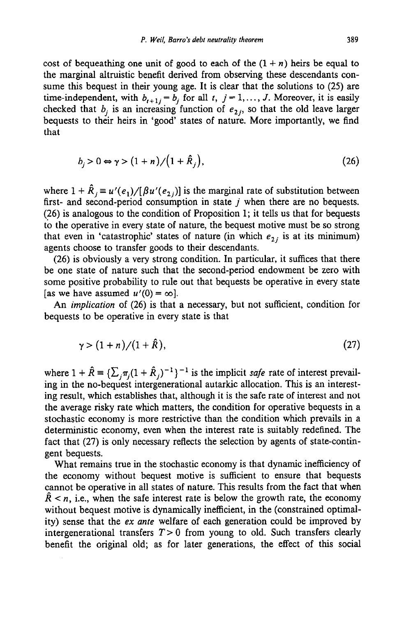cost of bequeathing one unit of good to each of the  $(1 + n)$  heirs be equal to the marginal altruistic benefit derived from observing these descendants consume this bequest in their young age. It is clear that the solutions to (25) are time-independent, with  $b_{i+1} = b_i$  for all t,  $j = 1, \ldots, J$ . Moreover, it is easily checked that b<sub>i</sub> is an increasing function of  $e_2$ , so that the old leave larger bequests to their heirs in 'good' states of nature. More importantly, we find that

$$
b_j > 0 \Leftrightarrow \gamma > (1+n)/(1+\hat{R}_j), \tag{26}
$$

where  $1 + \hat{R}_i \equiv u'(e_1)/[\beta u'(e_2)]$  is the marginal rate of substitution between first- and second-period consumption in state  $j$  when there are no bequests. (26) is analogous to the condition of Proposition 1; it tells us that for bequests to the operative in every state of nature, the bequest motive must be so strong that even in 'catastrophic' states of nature (in which  $e_{2i}$  is at its minimum) agents choose to transfer goods to their descendants.

(26) is obviously a very strong condition. In particular, it suffices that there be one state of nature such that the second-period endowment be zero with some positive probability to rule out that bequests be operative in every state [as we have assumed  $u'(0) = \infty$ ].

An implication of (26) is that a necessary, but not sufficient, condition for bequests to be operative in every state is that

$$
\gamma > (1+n)/(1+\hat{R}),\tag{27}
$$

where  $1 + \hat{R} = {\sum_i \pi_i (1 + \hat{R}_i)^{-1}}^{-1}$  is the implicit *safe* rate of interest prevailing in the no-bequest intergenerational autarkic allocation. This is an interesting result, which establishes that, although it is the safe rate of interest and not the average risky rate which matters, the condition for operative bequests in a stochastic economy is more restrictive than the condition which prevails in a deterministic economy, even when the interest rate is suitably redefined. The fact that (27) is only necessary reflects the selection by agents of state-contingent bequests.

What remains true in the stochastic economy is that dynamic inefficiency of the economy without bequest motive is suflicient to ensure that bequests cannot be operative in all states of nature. This results from the fact that when  $\ddot{R}$  < n, i.e., when the safe interest rate is below the growth rate, the economy without bequest motive is dynamically inefficient, in the (constrained optimality) sense that the ex ante welfare of each generation could be improved by intergenerational transfers  $T > 0$  from young to old. Such transfers clearly benefit the original old; as for later generations, the effect of this social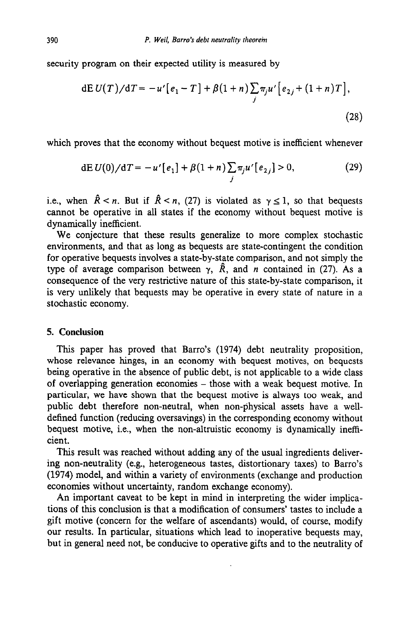security program on their expected utility is measured by

$$
dE U(T)/dT = -u'[e_1 - T] + \beta(1+n)\sum_j \pi_j u'[e_{2j} + (1+n)T],
$$
\n(28)

which proves that the economy without bequest motive is inefficient whenever

$$
dE U(0)/dT = -u'[e_1] + \beta(1+n)\sum_j \pi_j u'[e_{2j}] > 0,
$$
\n(29)

i.e., when  $\hat{R} < n$ . But if  $\hat{R} < n$ , (27) is violated as  $\gamma \leq 1$ , so that bequests cannot be operative in all states if the economy without bequest motive is dynamically inefficient.

We conjecture that these results generalize to more complex stochastic environments, and that as long as bequests are state-contingent the condition for operative bequests involves a state-by-state comparison, and not simply the type of average comparison between  $\gamma$ ,  $\hat{R}$ , and *n* contained in (27). As a consequence of the very restrictive nature of this state-by-state comparison, it is very unlikely that bequests may be operative in every state of nature in a stochastic economy.

#### 5. Conclusion

This paper has proved that Barro's (1974) debt neutrality proposition, whose relevance hinges, in an economy with bequest motives, on bequests being operative in the absence of public debt, is not applicable to a wide class of overlapping generation economies - those with a weak bequest motive. In particular, we have shown that the bequest motive is always too weak, and public debt therefore non-neutral, when non-physical assets have a welldefined function (reducing oversavings) in the corresponding economy without bequest motive, i.e., when the non-altruistic economy is dynamically inefficient.

This result was reached without adding any of the usual ingredients delivering non-neutrality (e.g., heterogeneous tastes, distortionary taxes) to Barro's (1974) model, and within a variety of environments (exchange and production economies without uncertainty, random exchange economy).

An important caveat to be kept in mind in interpreting the wider implications of this conclusion is that a modification of consumers' tastes to include a gift motive (concern for the welfare of ascendants) would, of course, modify our results. In particular, situations which lead to inoperative bequests may, but in general need not, be conducive to operative gifts and to the neutrality of